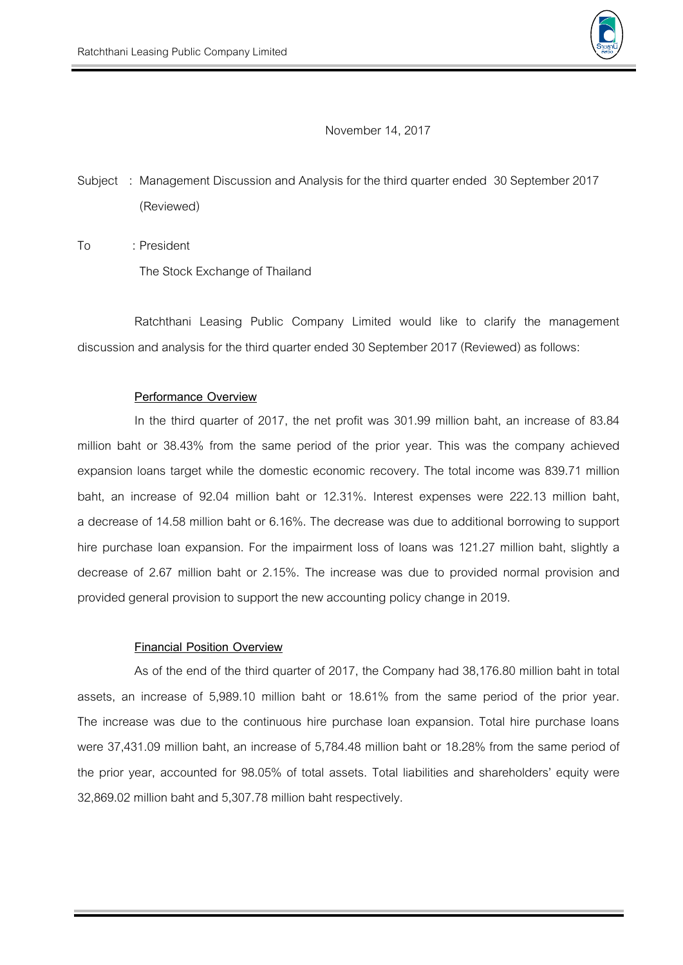

November14, 2017

Subject : Management Discussion and Analysis for the third quarter ended 30 September2017 (Reviewed)

To : President The Stock Exchange of Thailand

Ratchthani Leasing Public Company Limited would like to clarify the management discussion and analysis for the third quarter ended 30 September 2017 (Reviewed) as follows:

## **Performance Overview**

In the third quarter of 2017, the net profit was 301.99 million baht, an increase of 83.84 million baht or 38.43% from the same period of the prior year. This was the company achieved expansion loans target while the domestic economic recovery. The total income was 839.71 million baht, an increase of 92.04 million baht or 12.31%. Interest expenses were 222.13 million baht, a decrease of 14.58 million baht or 6.16%. The decrease was due to additional borrowing to support hire purchase loan expansion. For the impairment loss of loans was 121.27 million baht, slightly a decrease of 2.67 million baht or 2.15%. The increase was due to provided normal provision and provided general provision to support the new accounting policy change in 2019.

## **Financial Position Overview**

As of the end of the third quarter of 2017, the Company had 38,176.80 million baht in total assets, an increase of 5,989.10 million baht or 18.61% from the same period of the prior year. The increase was due to the continuous hire purchase loan expansion. Total hire purchase loans were 37,431.09 million baht, an increase of 5,784.48 million baht or 18.28% from the same period of the prior year, accounted for 98.05% of total assets. Total liabilities and shareholders' equity were 32,869.02 million baht and 5,307.78 million baht respectively.